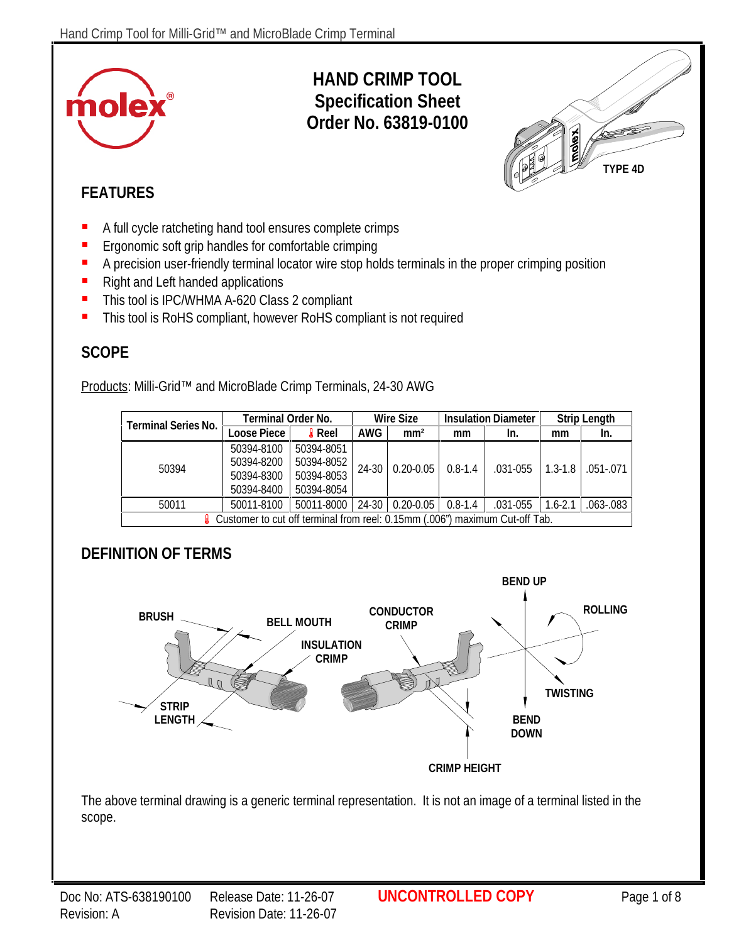

# **HAND CRIMP TOOL Specification Sheet Order No. 63819-0100**



# **FEATURES**

- A full cycle ratcheting hand tool ensures complete crimps<br>Expression contains and the comfortable crimping
- **Example 1** Ergonomic soft grip handles for comfortable crimping<br> **EXAMPLE 2018 A precision user-friendly terminal locator wire stop bo**
- A precision user-friendly terminal locator wire stop holds terminals in the proper crimping position
- Right and Left handed applications
- This tool is IPC/WHMA A-620 Class 2 compliant
- **This tool is RoHS compliant, however RoHS compliant is not required**

# **SCOPE**

Products: Milli-Grid™ and MicroBlade Crimp Terminals, 24-30 AWG

| <b>Terminal Series No.</b>                                                  | <b>Terminal Order No.</b> |               | <b>Wire Size</b> |                               |             | <b>Insulation Diameter</b> | <b>Strip Length</b> |               |  |
|-----------------------------------------------------------------------------|---------------------------|---------------|------------------|-------------------------------|-------------|----------------------------|---------------------|---------------|--|
|                                                                             | Loose Piece               | <b>A</b> Reel | AWG              | mm <sup>2</sup>               | mm          | In.                        | mm                  | In.           |  |
| 50394                                                                       | 50394-8100                | 50394-8051    |                  | $0.20 - 0.05$                 | $0.8 - 1.4$ | $.031 - 055$               | $1.3 - 1.8$         | $.051 - .071$ |  |
|                                                                             | 50394-8200                | 50394-8052    | $24-30$          |                               |             |                            |                     |               |  |
|                                                                             | 50394-8300                | 50394-8053    |                  |                               |             |                            |                     |               |  |
|                                                                             | 50394-8400                | 50394-8054    |                  |                               |             |                            |                     |               |  |
| 50011                                                                       | 50011-8100                | 50011-8000    |                  | $\mid$ 24-30 $\mid$ 0.20-0.05 | $0.8 - 1.4$ | .031-055                   | $1.6 - 2.1$         | $.063 - .083$ |  |
| Customer to cut off terminal from reel: 0.15mm (.006") maximum Cut-off Tab. |                           |               |                  |                               |             |                            |                     |               |  |

### **DEFINITION OF TERMS**



The above terminal drawing is a generic terminal representation. It is not an image of a terminal listed in the scope.

Doc No: ATS-638190100 Release Date: 11-26-07 **UNCONTROLLED COPY** Page 1 of 8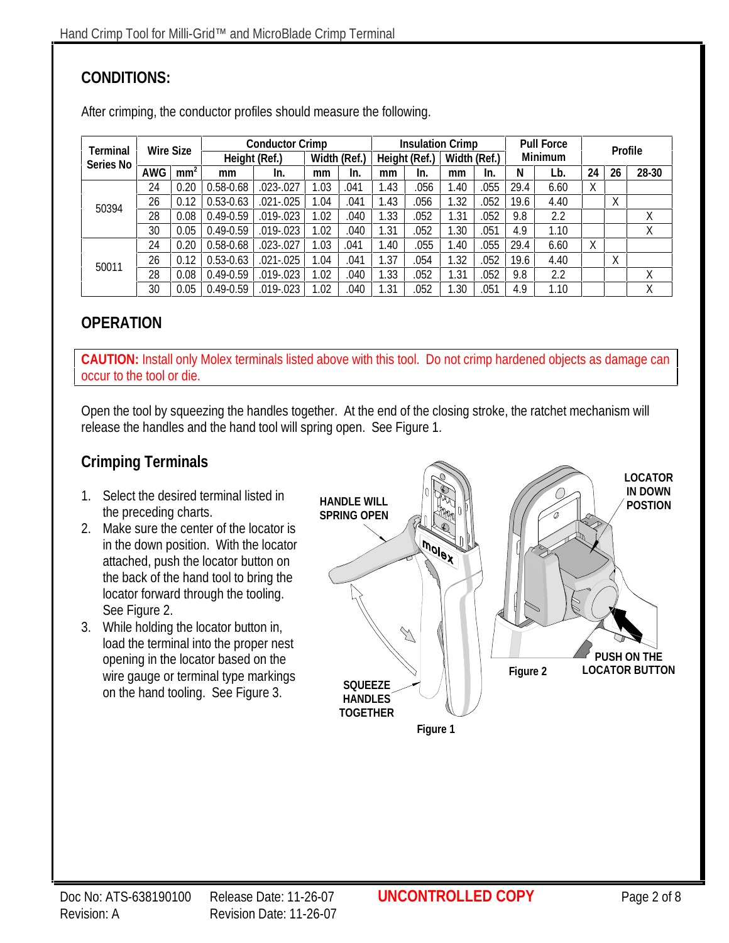# **CONDITIONS:**

| <b>Terminal</b><br><b>Series No</b> | <b>Wire Size</b> |                 | <b>Conductor Crimp</b> |               |              |      | <b>Insulation Crimp</b> |      |              | <b>Pull Force</b> |                | <b>Profile</b> |    |    |       |
|-------------------------------------|------------------|-----------------|------------------------|---------------|--------------|------|-------------------------|------|--------------|-------------------|----------------|----------------|----|----|-------|
|                                     |                  |                 | Height (Ref.)          |               | Width (Ref.) |      | Height (Ref.)           |      | Width (Ref.) |                   | <b>Minimum</b> |                |    |    |       |
|                                     | <b>AWG</b>       | mm <sup>2</sup> | mm                     | In.           | mm           | In.  | mm                      | In.  | mm           | In.               | N              | Lb.            | 24 | 26 | 28-30 |
| 50394                               | 24               | 0.20            | $0.58 - 0.68$          | .023-.027     | 1.03         | .041 | 1.43                    | .056 | .40          | .055              | 29.4           | 6.60           | Χ  |    |       |
|                                     | 26               | 0.12            | $0.53 - 0.63$          | $.021 - .025$ | 1.04         | .041 | 1.43                    | .056 | .32          | .052              | 19.6           | 4.40           |    | χ  |       |
|                                     | 28               | 0.08            | $0.49 - 0.59$          | .019-.023     | 1.02         | .040 | .33                     | .052 | l.31         | .052              | 9.8            | 2.2            |    |    | χ     |
|                                     | 30               | 0.05            | $0.49 - 0.59$          | .019-.023     | 1.02         | .040 | 1.31                    | .052 | .30          | .051              | 4.9            | 1.10           |    |    | χ     |
| 50011                               | 24               | 0.20            | $0.58 - 0.68$          | $.023 - .027$ | 1.03         | .041 | 1.40                    | .055 | .40          | .055              | 29.4           | 6.60           | Χ  |    |       |
|                                     | 26               | 0.12            | $0.53 - 0.63$          | $.021 - .025$ | 1.04         | .041 | .37                     | .054 | 1.32         | .052              | 19.6           | 4.40           |    | χ  |       |
|                                     | 28               | 0.08            | $0.49 - 0.59$          | .019-.023     | 1.02         | .040 | l.33                    | .052 | 1.31         | .052              | 9.8            | 2.2            |    |    | Χ     |
|                                     | 30               | 0.05            | $0.49 - 0.59$          | .019-.023     | 1.02         | .040 | 31                      | .052 | .30          | .051              | 4.9            | 1.10           |    |    | χ     |

### **OPERATION**

**CAUTION:** Install only Molex terminals listed above with this tool. Do not crimp hardened objects as damage can occur to the tool or die.

Open the tool by squeezing the handles together. At the end of the closing stroke, the ratchet mechanism will release the handles and the hand tool will spring open. See Figure 1.

### **Crimping Terminals**

- 1. Select the desired terminal listed in the preceding charts.
- 2. Make sure the center of the locator is in the down position. With the locator attached, push the locator button on the back of the hand tool to bring the locator forward through the tooling. See Figure 2.
- 3. While holding the locator button in, load the terminal into the proper nest opening in the locator based on the wire gauge or terminal type markings on the hand tooling. See Figure 3. **SQUEEZE**



Revision Date: 11-26-07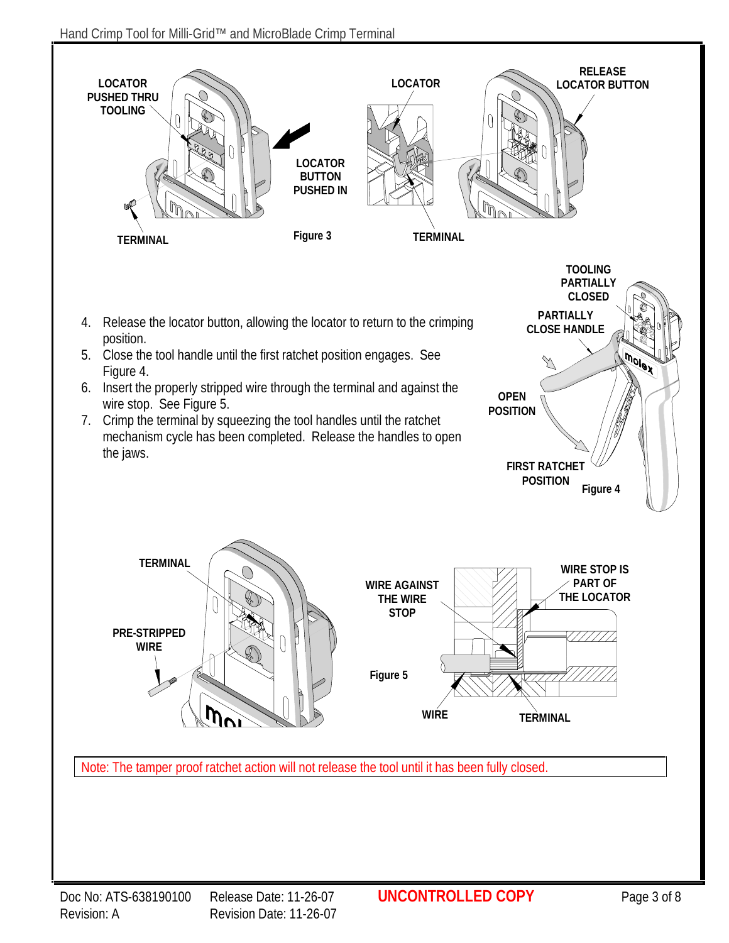Hand Crimp Tool for Milli-Grid™ and MicroBlade Crimp Terminal



Revision Date: 11-26-07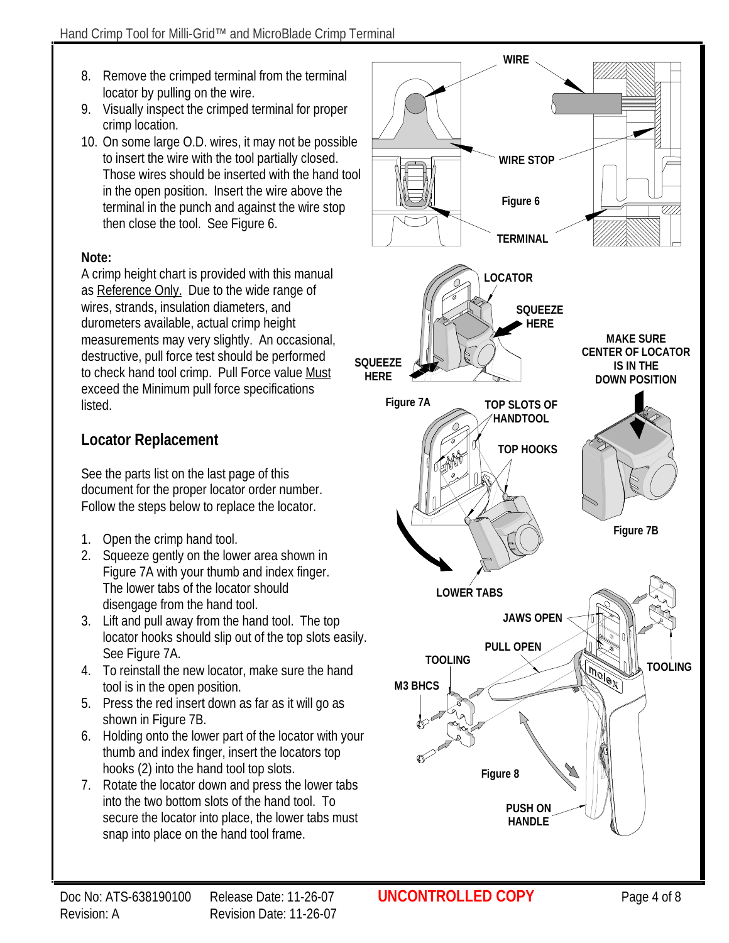- 8. Remove the crimped terminal from the terminal locator by pulling on the wire.
- 9. Visually inspect the crimped terminal for proper crimp location.
- 10. On some large O.D. wires, it may not be possible to insert the wire with the tool partially closed. Those wires should be inserted with the hand tool in the open position. Insert the wire above the terminal in the punch and against the wire stop then close the tool. See Figure 6.

### **Note:**

A crimp height chart is provided with this manual as Reference Only. Due to the wide range of wires, strands, insulation diameters, and durometers available, actual crimp height measurements may very slightly. An occasional, destructive, pull force test should be performed to check hand tool crimp. Pull Force value Must exceed the Minimum pull force specifications listed.

## **Locator Replacement**

See the parts list on the last page of this document for the proper locator order number. Follow the steps below to replace the locator.

- 1. Open the crimp hand tool.
- 2. Squeeze gently on the lower area shown in Figure 7A with your thumb and index finger. The lower tabs of the locator should disengage from the hand tool.
- 3. Lift and pull away from the hand tool. The top locator hooks should slip out of the top slots easily. See Figure 7A.
- 4. To reinstall the new locator, make sure the hand tool is in the open position.
- 5. Press the red insert down as far as it will go as shown in Figure 7B.
- 6. Holding onto the lower part of the locator with your thumb and index finger, insert the locators top hooks (2) into the hand tool top slots.
- 7. Rotate the locator down and press the lower tabs into the two bottom slots of the hand tool. To secure the locator into place, the lower tabs must snap into place on the hand tool frame.

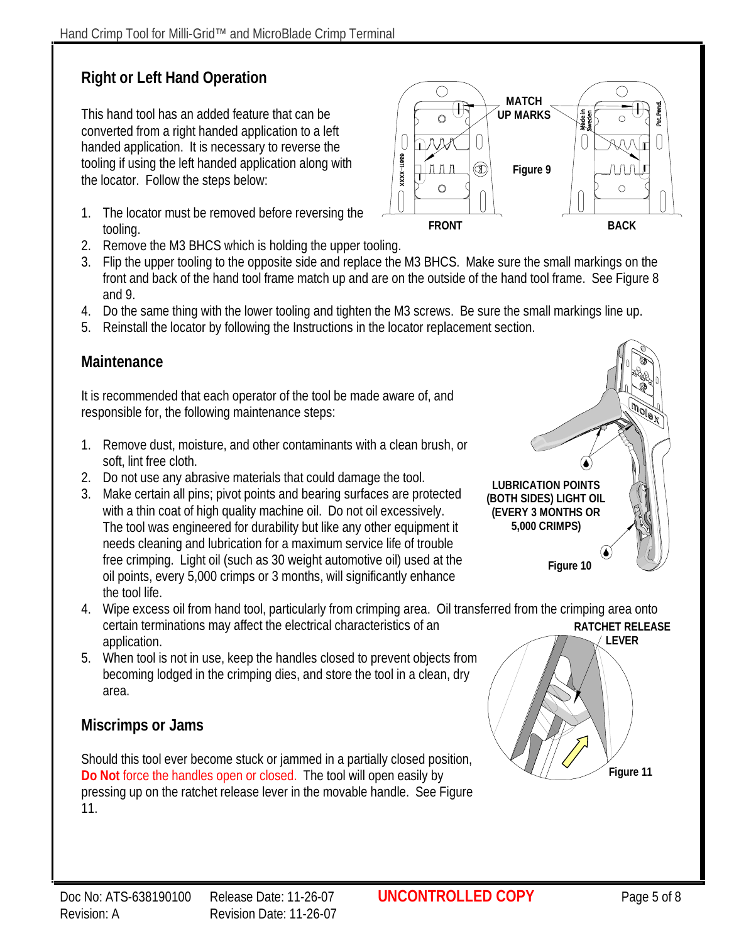# **Right or Left Hand Operation**

This hand tool has an added feature that can be converted from a right handed application to a left handed application. It is necessary to reverse the tooling if using the left handed application along with the locator. Follow the steps below:

- 1. The locator must be removed before reversing the tooling.
- 2. Remove the M3 BHCS which is holding the upper tooling.
- 3. Flip the upper tooling to the opposite side and replace the M3 BHCS. Make sure the small markings on the front and back of the hand tool frame match up and are on the outside of the hand tool frame. See Figure 8 and 9.
- 4. Do the same thing with the lower tooling and tighten the M3 screws. Be sure the small markings line up.
- 5. Reinstall the locator by following the Instructions in the locator replacement section.

# **Maintenance**

It is recommended that each operator of the tool be made aware of, and responsible for, the following maintenance steps:

- 1. Remove dust, moisture, and other contaminants with a clean brush, or soft, lint free cloth.
- 2. Do not use any abrasive materials that could damage the tool.
- 3. Make certain all pins; pivot points and bearing surfaces are protected with a thin coat of high quality machine oil. Do not oil excessively. The tool was engineered for durability but like any other equipment it needs cleaning and lubrication for a maximum service life of trouble free crimping. Light oil (such as 30 weight automotive oil) used at the oil points, every 5,000 crimps or 3 months, will significantly enhance the tool life.
- 4. Wipe excess oil from hand tool, particularly from crimping area. Oil transferred from the crimping area onto certain terminations may affect the electrical characteristics of an application. **RATCHET RELEASE LEVER**
- 5. When tool is not in use, keep the handles closed to prevent objects from becoming lodged in the crimping dies, and store the tool in a clean, dry area.

# **Miscrimps or Jams**

Should this tool ever become stuck or jammed in a partially closed position, **Do Not** force the handles open or closed. The tool will open easily by pressing up on the ratchet release lever in the movable handle. See Figure 11.





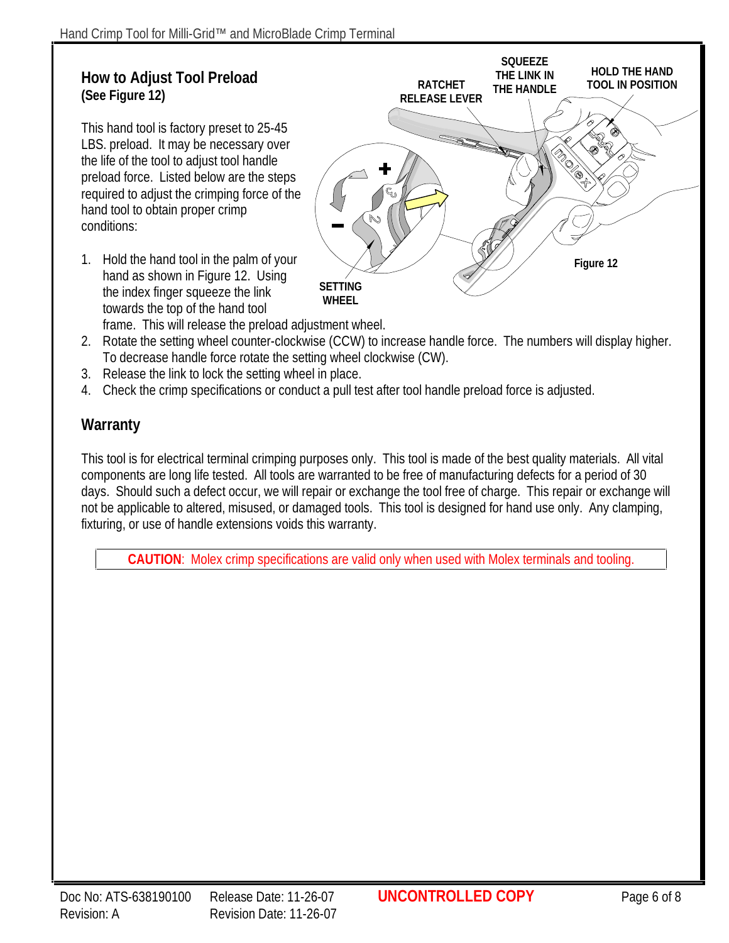#### **How to Adjust Tool Preload (See Figure 12)**

This hand tool is factory preset to 25-45 LBS. preload. It may be necessary over the life of the tool to adjust tool handle preload force. Listed below are the steps required to adjust the crimping force of the hand tool to obtain proper crimp conditions:

1. Hold the hand tool in the palm of your hand as shown in Figure 12. Using the index finger squeeze the link towards the top of the hand tool



frame. This will release the preload adjustment wheel.

- 2. Rotate the setting wheel counter-clockwise (CCW) to increase handle force. The numbers will display higher. To decrease handle force rotate the setting wheel clockwise (CW).
- 3. Release the link to lock the setting wheel in place.
- 4. Check the crimp specifications or conduct a pull test after tool handle preload force is adjusted.

### **Warranty**

This tool is for electrical terminal crimping purposes only. This tool is made of the best quality materials. All vital components are long life tested. All tools are warranted to be free of manufacturing defects for a period of 30 days. Should such a defect occur, we will repair or exchange the tool free of charge. This repair or exchange will not be applicable to altered, misused, or damaged tools. This tool is designed for hand use only. Any clamping, fixturing, or use of handle extensions voids this warranty.

**CAUTION**: Molex crimp specifications are valid only when used with Molex terminals and tooling.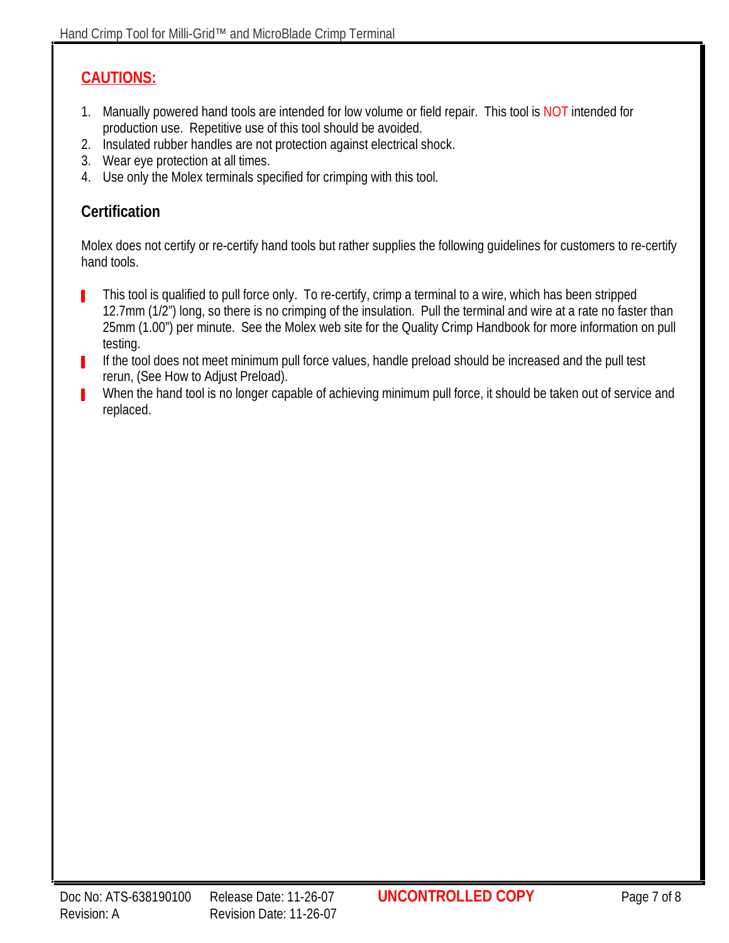## **CAUTIONS:**

- 1. Manually powered hand tools are intended for low volume or field repair. This tool is NOT intended for production use. Repetitive use of this tool should be avoided.
- 2. Insulated rubber handles are not protection against electrical shock.
- 3. Wear eye protection at all times.
- 4. Use only the Molex terminals specified for crimping with this tool.

### **Certification**

Molex does not certify or re-certify hand tools but rather supplies the following guidelines for customers to re-certify hand tools.

- This tool is qualified to pull force only. To re-certify, crimp a terminal to a wire, which has been stripped 12.7mm (1/2") long, so there is no crimping of the insulation. Pull the terminal and wire at a rate no faster than 25mm (1.00") per minute. See the Molex web site for the Quality Crimp Handbook for more information on pull testing.
- $\blacksquare$  If the tool does not meet minimum pull force values, handle preload should be increased and the pull test rerun, (See How to Adjust Preload).
- When the hand tool is no longer capable of achieving minimum pull force, it should be taken out of service and replaced.